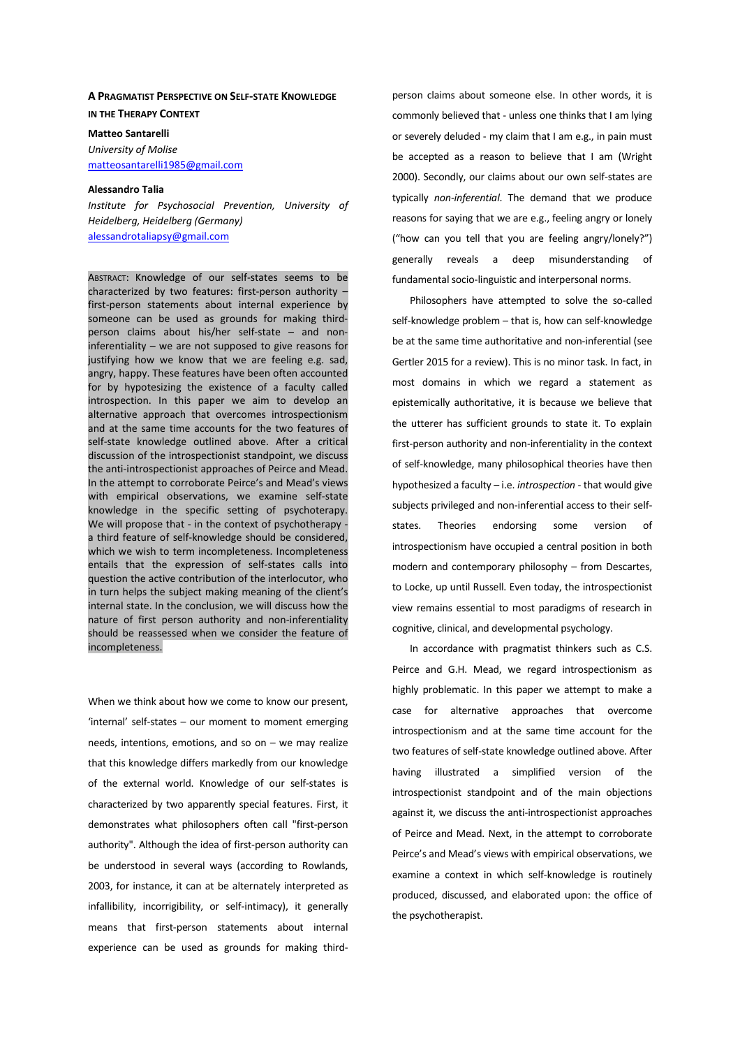#### **A PRAGMATIST PERSPECTIVE ON SELF-STATE KNOWLEDGE IN THE THERAPY CONTEXT**

**Matteo Santarelli**  *University of Molise*  matteosantarelli1985@gmail.com

### **Alessandro Talia**

*Institute for Psychosocial Prevention, University of Heidelberg, Heidelberg (Germany)*  alessandrotaliapsy@gmail.com

ABSTRACT: Knowledge of our self-states seems to be characterized by two features: first-person authority – first-person statements about internal experience by someone can be used as grounds for making thirdperson claims about his/her self-state – and noninferentiality – we are not supposed to give reasons for justifying how we know that we are feeling e.g. sad, angry, happy. These features have been often accounted for by hypotesizing the existence of a faculty called introspection. In this paper we aim to develop an alternative approach that overcomes introspectionism and at the same time accounts for the two features of self-state knowledge outlined above. After a critical discussion of the introspectionist standpoint, we discuss the anti-introspectionist approaches of Peirce and Mead. In the attempt to corroborate Peirce's and Mead's views with empirical observations, we examine self-state knowledge in the specific setting of psychoterapy. We will propose that - in the context of psychotherapy  $\cdot$ a third feature of self-knowledge should be considered, which we wish to term incompleteness. Incompleteness entails that the expression of self-states calls into question the active contribution of the interlocutor, who in turn helps the subject making meaning of the client's internal state. In the conclusion, we will discuss how the nature of first person authority and non-inferentiality should be reassessed when we consider the feature of incompleteness.

When we think about how we come to know our present, 'internal' self-states – our moment to moment emerging needs, intentions, emotions, and so on – we may realize that this knowledge differs markedly from our knowledge of the external world. Knowledge of our self-states is characterized by two apparently special features. First, it demonstrates what philosophers often call "first-person authority". Although the idea of first-person authority can be understood in several ways (according to Rowlands, 2003, for instance, it can at be alternately interpreted as infallibility, incorrigibility, or self-intimacy), it generally means that first-person statements about internal experience can be used as grounds for making thirdperson claims about someone else. In other words, it is commonly believed that - unless one thinks that I am lying or severely deluded - my claim that I am e.g., in pain must be accepted as a reason to believe that I am (Wright 2000). Secondly, our claims about our own self-states are typically *non-inferential*. The demand that we produce reasons for saying that we are e.g., feeling angry or lonely ("how can you tell that you are feeling angry/lonely?") generally reveals a deep misunderstanding of fundamental socio-linguistic and interpersonal norms.

Philosophers have attempted to solve the so-called self-knowledge problem – that is, how can self-knowledge be at the same time authoritative and non-inferential (see Gertler 2015 for a review). This is no minor task. In fact, in most domains in which we regard a statement as epistemically authoritative, it is because we believe that the utterer has sufficient grounds to state it. To explain first-person authority and non-inferentiality in the context of self-knowledge, many philosophical theories have then hypothesized a faculty – i.e. *introspection* - that would give subjects privileged and non-inferential access to their selfstates. Theories endorsing some version of introspectionism have occupied a central position in both modern and contemporary philosophy – from Descartes, to Locke, up until Russell. Even today, the introspectionist view remains essential to most paradigms of research in cognitive, clinical, and developmental psychology.

In accordance with pragmatist thinkers such as C.S. Peirce and G.H. Mead, we regard introspectionism as highly problematic. In this paper we attempt to make a case for alternative approaches that overcome introspectionism and at the same time account for the two features of self-state knowledge outlined above. After having illustrated a simplified version of the introspectionist standpoint and of the main objections against it, we discuss the anti-introspectionist approaches of Peirce and Mead. Next, in the attempt to corroborate Peirce's and Mead's views with empirical observations, we examine a context in which self-knowledge is routinely produced, discussed, and elaborated upon: the office of the psychotherapist.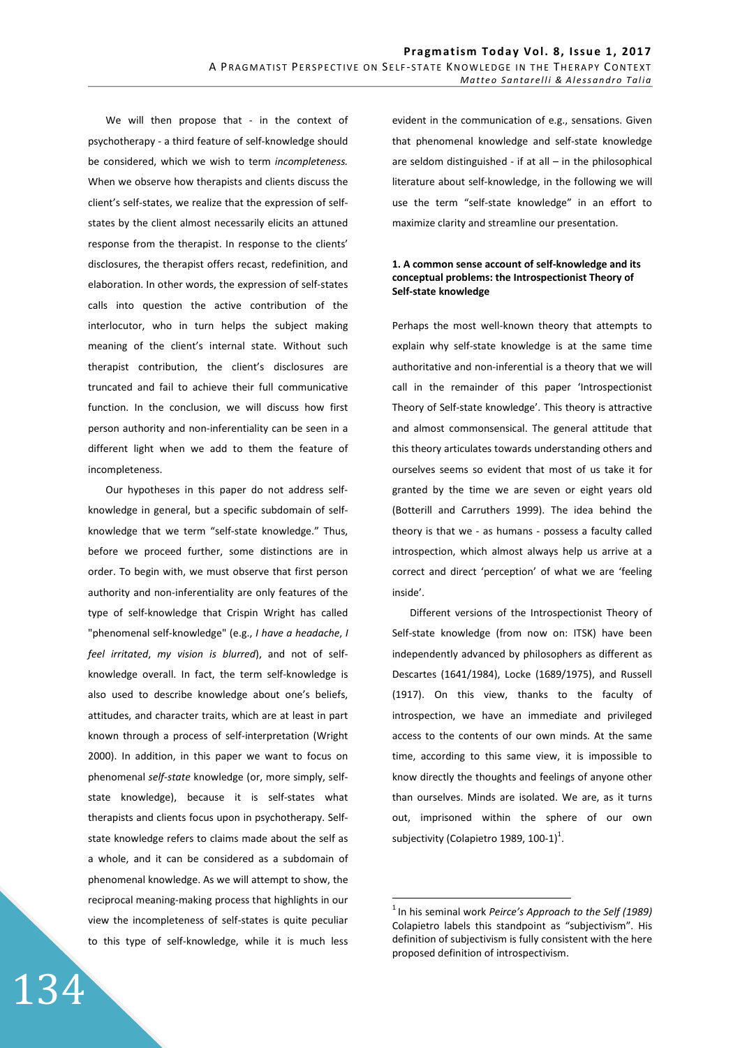We will then propose that - in the context of psychotherapy - a third feature of self-knowledge should be considered, which we wish to term *incompleteness.*  When we observe how therapists and clients discuss the client's self-states, we realize that the expression of selfstates by the client almost necessarily elicits an attuned response from the therapist. In response to the clients' disclosures, the therapist offers recast, redefinition, and elaboration. In other words, the expression of self-states calls into question the active contribution of the interlocutor, who in turn helps the subject making meaning of the client's internal state. Without such therapist contribution, the client's disclosures are truncated and fail to achieve their full communicative function. In the conclusion, we will discuss how first person authority and non-inferentiality can be seen in a different light when we add to them the feature of incompleteness.

Our hypotheses in this paper do not address selfknowledge in general, but a specific subdomain of selfknowledge that we term "self-state knowledge." Thus, before we proceed further, some distinctions are in order. To begin with, we must observe that first person authority and non-inferentiality are only features of the type of self-knowledge that Crispin Wright has called "phenomenal self-knowledge" (e.g., *I have a headache*, *I feel irritated*, *my vision is blurred*), and not of selfknowledge overall. In fact, the term self-knowledge is also used to describe knowledge about one's beliefs, attitudes, and character traits, which are at least in part known through a process of self-interpretation (Wright 2000). In addition, in this paper we want to focus on phenomenal *self-state* knowledge (or, more simply, selfstate knowledge), because it is self-states what therapists and clients focus upon in psychotherapy. Selfstate knowledge refers to claims made about the self as a whole, and it can be considered as a subdomain of phenomenal knowledge. As we will attempt to show, the reciprocal meaning-making process that highlights in our view the incompleteness of self-states is quite peculiar to this type of self-knowledge, while it is much less evident in the communication of e.g., sensations. Given that phenomenal knowledge and self-state knowledge are seldom distinguished - if at all – in the philosophical literature about self-knowledge, in the following we will use the term "self-state knowledge" in an effort to maximize clarity and streamline our presentation.

#### **1. A common sense account of self-knowledge and its conceptual problems: the Introspectionist Theory of Self-state knowledge**

Perhaps the most well-known theory that attempts to explain why self-state knowledge is at the same time authoritative and non-inferential is a theory that we will call in the remainder of this paper 'Introspectionist Theory of Self-state knowledge'. This theory is attractive and almost commonsensical. The general attitude that this theory articulates towards understanding others and ourselves seems so evident that most of us take it for granted by the time we are seven or eight years old (Botterill and Carruthers 1999). The idea behind the theory is that we - as humans - possess a faculty called introspection, which almost always help us arrive at a correct and direct 'perception' of what we are 'feeling inside'.

Different versions of the Introspectionist Theory of Self-state knowledge (from now on: ITSK) have been independently advanced by philosophers as different as Descartes (1641/1984), Locke (1689/1975), and Russell (1917). On this view, thanks to the faculty of introspection, we have an immediate and privileged access to the contents of our own minds. At the same time, according to this same view, it is impossible to know directly the thoughts and feelings of anyone other than ourselves. Minds are isolated. We are, as it turns out, imprisoned within the sphere of our own subjectivity (Colapietro 1989, 100-1)<sup>1</sup>.

 $\overline{a}$ 

<sup>&</sup>lt;sup>1</sup> In his seminal work *Peirce's Approach to the Self (1989)* Colapietro labels this standpoint as "subjectivism". His definition of subjectivism is fully consistent with the here proposed definition of introspectivism.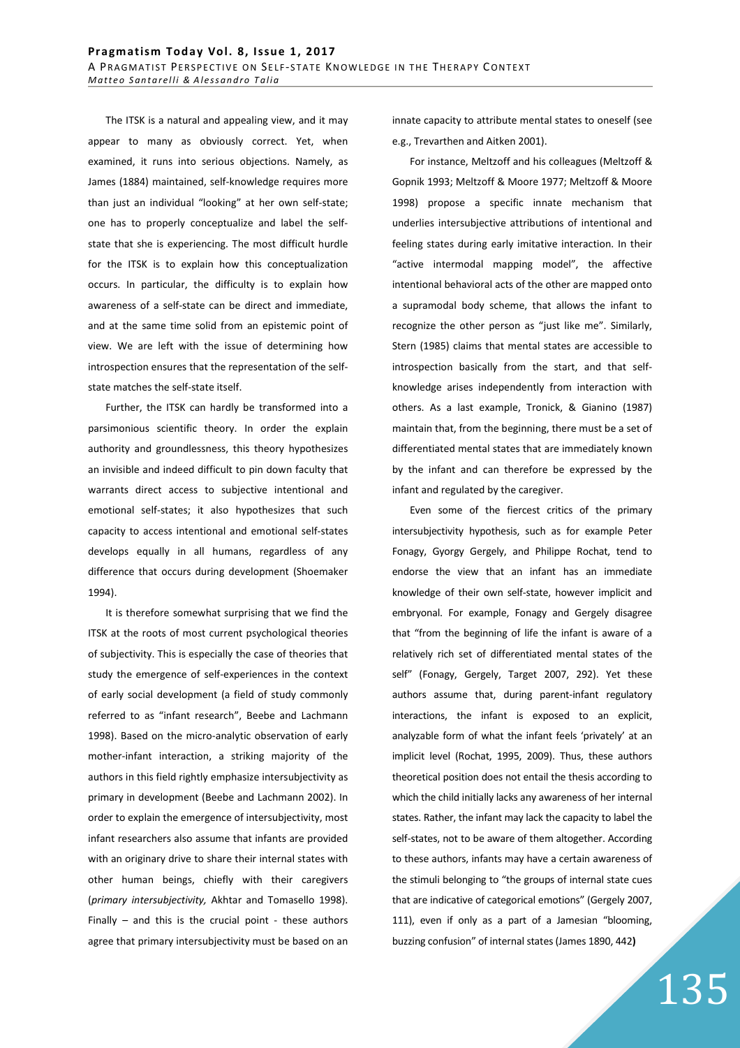The ITSK is a natural and appealing view, and it may appear to many as obviously correct. Yet, when examined, it runs into serious objections. Namely, as James (1884) maintained, self-knowledge requires more than just an individual "looking" at her own self-state; one has to properly conceptualize and label the selfstate that she is experiencing. The most difficult hurdle for the ITSK is to explain how this conceptualization occurs. In particular, the difficulty is to explain how awareness of a self-state can be direct and immediate, and at the same time solid from an epistemic point of view. We are left with the issue of determining how introspection ensures that the representation of the selfstate matches the self-state itself.

Further, the ITSK can hardly be transformed into a parsimonious scientific theory. In order the explain authority and groundlessness, this theory hypothesizes an invisible and indeed difficult to pin down faculty that warrants direct access to subjective intentional and emotional self-states; it also hypothesizes that such capacity to access intentional and emotional self-states develops equally in all humans, regardless of any difference that occurs during development (Shoemaker 1994).

It is therefore somewhat surprising that we find the ITSK at the roots of most current psychological theories of subjectivity. This is especially the case of theories that study the emergence of self-experiences in the context of early social development (a field of study commonly referred to as "infant research", Beebe and Lachmann 1998). Based on the micro-analytic observation of early mother-infant interaction, a striking majority of the authors in this field rightly emphasize intersubjectivity as primary in development (Beebe and Lachmann 2002). In order to explain the emergence of intersubjectivity, most infant researchers also assume that infants are provided with an originary drive to share their internal states with other human beings, chiefly with their caregivers (*primary intersubjectivity,* Akhtar and Tomasello 1998). Finally – and this is the crucial point - these authors agree that primary intersubjectivity must be based on an innate capacity to attribute mental states to oneself (see e.g., Trevarthen and Aitken 2001).

For instance, Meltzoff and his colleagues (Meltzoff & Gopnik 1993; Meltzoff & Moore 1977; Meltzoff & Moore 1998) propose a specific innate mechanism that underlies intersubjective attributions of intentional and feeling states during early imitative interaction. In their "active intermodal mapping model", the affective intentional behavioral acts of the other are mapped onto a supramodal body scheme, that allows the infant to recognize the other person as "just like me". Similarly, Stern (1985) claims that mental states are accessible to introspection basically from the start, and that selfknowledge arises independently from interaction with others. As a last example, Tronick, & Gianino (1987) maintain that, from the beginning, there must be a set of differentiated mental states that are immediately known by the infant and can therefore be expressed by the infant and regulated by the caregiver.

Even some of the fiercest critics of the primary intersubjectivity hypothesis, such as for example Peter Fonagy, Gyorgy Gergely, and Philippe Rochat, tend to endorse the view that an infant has an immediate knowledge of their own self-state, however implicit and embryonal. For example, Fonagy and Gergely disagree that "from the beginning of life the infant is aware of a relatively rich set of differentiated mental states of the self" (Fonagy, Gergely, Target 2007, 292). Yet these authors assume that, during parent-infant regulatory interactions, the infant is exposed to an explicit, analyzable form of what the infant feels 'privately' at an implicit level (Rochat, 1995, 2009). Thus, these authors theoretical position does not entail the thesis according to which the child initially lacks any awareness of her internal states. Rather, the infant may lack the capacity to label the self-states, not to be aware of them altogether. According to these authors, infants may have a certain awareness of the stimuli belonging to "the groups of internal state cues that are indicative of categorical emotions" (Gergely 2007, 111), even if only as a part of a Jamesian "blooming, buzzing confusion" of internal states (James 1890, 442**)**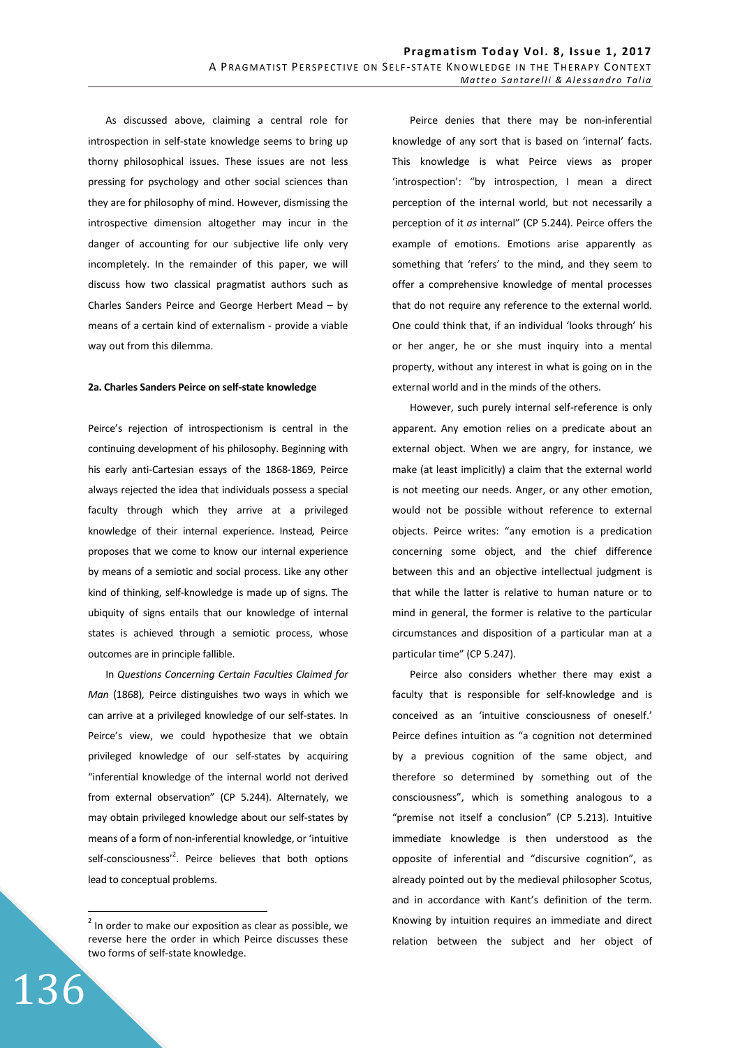As discussed above, claiming a central role for introspection in self-state knowledge seems to bring up thorny philosophical issues. These issues are not less pressing for psychology and other social sciences than they are for philosophy of mind. However, dismissing the introspective dimension altogether may incur in the danger of accounting for our subjective life only very incompletely. In the remainder of this paper, we will discuss how two classical pragmatist authors such as Charles Sanders Peirce and George Herbert Mead – by means of a certain kind of externalism - provide a viable way out from this dilemma.

#### **2a. Charles Sanders Peirce on self-state knowledge**

Peirce's rejection of introspectionism is central in the continuing development of his philosophy. Beginning with his early anti-Cartesian essays of the 1868-1869, Peirce always rejected the idea that individuals possess a special faculty through which they arrive at a privileged knowledge of their internal experience. Instead*,* Peirce proposes that we come to know our internal experience by means of a semiotic and social process. Like any other kind of thinking, self-knowledge is made up of signs. The ubiquity of signs entails that our knowledge of internal states is achieved through a semiotic process, whose outcomes are in principle fallible.

In *Questions Concerning Certain Faculties Claimed for Man* (1868)*,* Peirce distinguishes two ways in which we can arrive at a privileged knowledge of our self-states. In Peirce's view, we could hypothesize that we obtain privileged knowledge of our self-states by acquiring "inferential knowledge of the internal world not derived from external observation" (CP 5.244). Alternately, we may obtain privileged knowledge about our self-states by means of a form of non-inferential knowledge, or 'intuitive self-consciousness'<sup>2</sup>. Peirce believes that both options lead to conceptual problems.

136

 $\overline{a}$ 

Peirce denies that there may be non-inferential knowledge of any sort that is based on 'internal' facts. This knowledge is what Peirce views as proper 'introspection': "by introspection, I mean a direct perception of the internal world, but not necessarily a perception of it *as* internal" (CP 5.244). Peirce offers the example of emotions. Emotions arise apparently as something that 'refers' to the mind, and they seem to offer a comprehensive knowledge of mental processes that do not require any reference to the external world. One could think that, if an individual 'looks through' his or her anger, he or she must inquiry into a mental property, without any interest in what is going on in the external world and in the minds of the others.

However, such purely internal self-reference is only apparent. Any emotion relies on a predicate about an external object. When we are angry, for instance, we make (at least implicitly) a claim that the external world is not meeting our needs. Anger, or any other emotion, would not be possible without reference to external objects. Peirce writes: "any emotion is a predication concerning some object, and the chief difference between this and an objective intellectual judgment is that while the latter is relative to human nature or to mind in general, the former is relative to the particular circumstances and disposition of a particular man at a particular time" (CP 5.247).

Peirce also considers whether there may exist a faculty that is responsible for self-knowledge and is conceived as an 'intuitive consciousness of oneself.' Peirce defines intuition as "a cognition not determined by a previous cognition of the same object, and therefore so determined by something out of the consciousness", which is something analogous to a "premise not itself a conclusion" (CP 5.213). Intuitive immediate knowledge is then understood as the opposite of inferential and "discursive cognition", as already pointed out by the medieval philosopher Scotus, and in accordance with Kant's definition of the term. Knowing by intuition requires an immediate and direct relation between the subject and her object of

 $2$  In order to make our exposition as clear as possible, we reverse here the order in which Peirce discusses these two forms of self-state knowledge.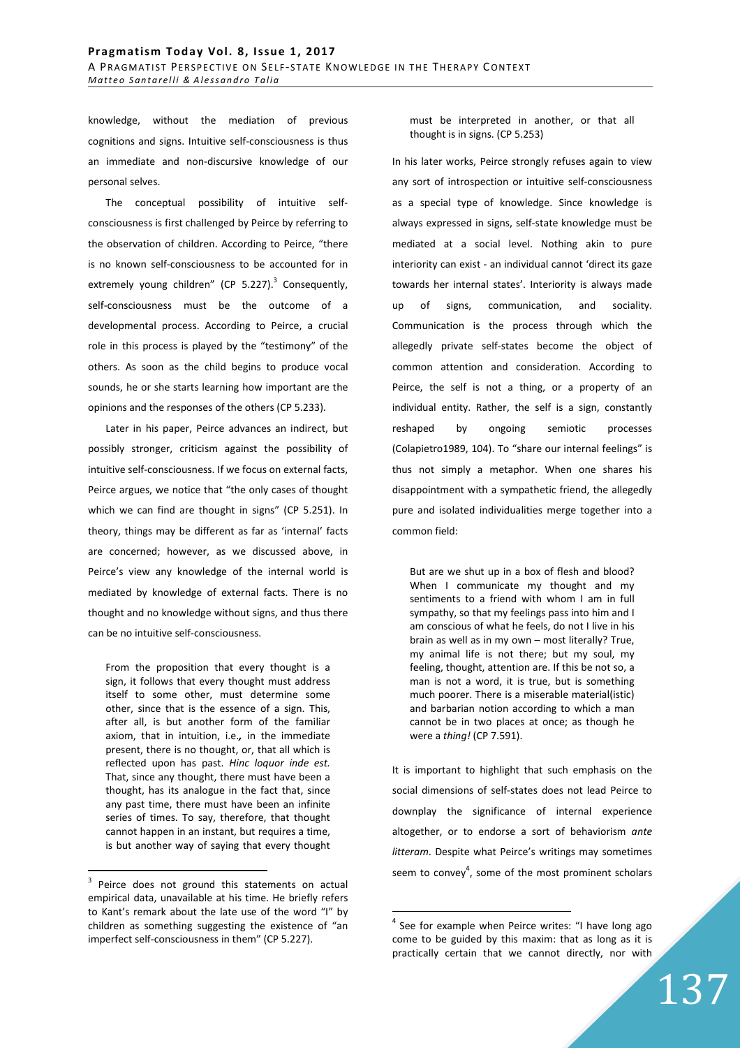knowledge, without the mediation of previous cognitions and signs. Intuitive self-consciousness is thus an immediate and non-discursive knowledge of our personal selves.

The conceptual possibility of intuitive selfconsciousness is first challenged by Peirce by referring to the observation of children. According to Peirce, "there is no known self-consciousness to be accounted for in extremely young children" (CP 5.227).<sup>3</sup> Consequently, self-consciousness must be the outcome of a developmental process. According to Peirce, a crucial role in this process is played by the "testimony" of the others. As soon as the child begins to produce vocal sounds, he or she starts learning how important are the opinions and the responses of the others (CP 5.233).

Later in his paper, Peirce advances an indirect, but possibly stronger, criticism against the possibility of intuitive self-consciousness. If we focus on external facts, Peirce argues, we notice that "the only cases of thought which we can find are thought in signs" (CP 5.251). In theory, things may be different as far as 'internal' facts are concerned; however, as we discussed above, in Peirce's view any knowledge of the internal world is mediated by knowledge of external facts. There is no thought and no knowledge without signs, and thus there can be no intuitive self-consciousness.

From the proposition that every thought is a sign, it follows that every thought must address itself to some other, must determine some other, since that is the essence of a sign. This, after all, is but another form of the familiar axiom, that in intuition, i.e.*,* in the immediate present, there is no thought, or, that all which is reflected upon has past. *Hinc loquor inde est.* That, since any thought, there must have been a thought, has its analogue in the fact that, since any past time, there must have been an infinite series of times. To say, therefore, that thought cannot happen in an instant, but requires a time, is but another way of saying that every thought

 $\overline{a}$ 

must be interpreted in another, or that all thought is in signs. (CP 5.253)

In his later works, Peirce strongly refuses again to view any sort of introspection or intuitive self-consciousness as a special type of knowledge. Since knowledge is always expressed in signs, self-state knowledge must be mediated at a social level. Nothing akin to pure interiority can exist - an individual cannot 'direct its gaze towards her internal states'. Interiority is always made up of signs, communication, and sociality. Communication is the process through which the allegedly private self-states become the object of common attention and consideration. According to Peirce, the self is not a thing, or a property of an individual entity. Rather, the self is a sign, constantly reshaped by ongoing semiotic processes (Colapietro1989, 104). To "share our internal feelings" is thus not simply a metaphor. When one shares his disappointment with a sympathetic friend, the allegedly pure and isolated individualities merge together into a common field:

But are we shut up in a box of flesh and blood? When I communicate my thought and my sentiments to a friend with whom I am in full sympathy, so that my feelings pass into him and I am conscious of what he feels, do not I live in his brain as well as in my own – most literally? True, my animal life is not there; but my soul, my feeling, thought, attention are. If this be not so, a man is not a word, it is true, but is something much poorer. There is a miserable material(istic) and barbarian notion according to which a man cannot be in two places at once; as though he were a *thing!* (CP 7.591).

It is important to highlight that such emphasis on the social dimensions of self-states does not lead Peirce to downplay the significance of internal experience altogether, or to endorse a sort of behaviorism *ante litteram*. Despite what Peirce's writings may sometimes seem to convey<sup>4</sup>, some of the most prominent scholars

 $\overline{a}$ 

<sup>3</sup> Peirce does not ground this statements on actual empirical data, unavailable at his time. He briefly refers to Kant's remark about the late use of the word "I" by children as something suggesting the existence of "an imperfect self-consciousness in them" (CP 5.227).

<sup>&</sup>lt;sup>4</sup> See for example when Peirce writes: "I have long ago come to be guided by this maxim: that as long as it is practically certain that we cannot directly, nor with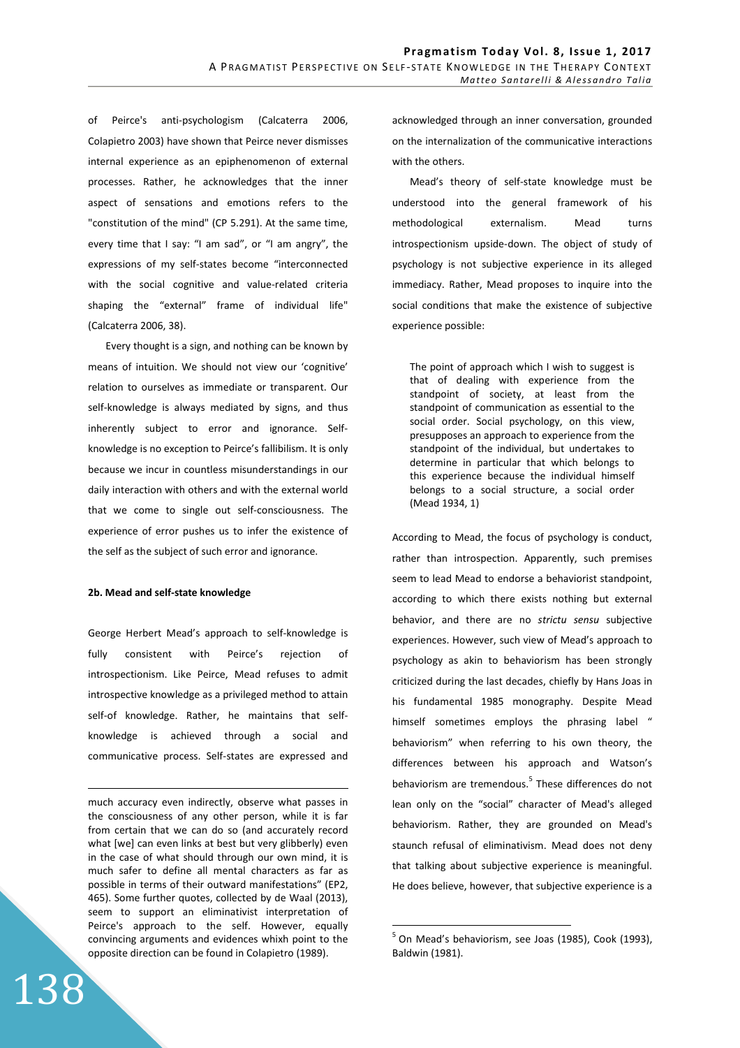of Peirce's anti-psychologism (Calcaterra 2006, Colapietro 2003) have shown that Peirce never dismisses internal experience as an epiphenomenon of external processes. Rather, he acknowledges that the inner aspect of sensations and emotions refers to the "constitution of the mind" (CP 5.291). At the same time, every time that I say: "I am sad", or "I am angry", the expressions of my self-states become "interconnected with the social cognitive and value-related criteria shaping the "external" frame of individual life" (Calcaterra 2006, 38).

Every thought is a sign, and nothing can be known by means of intuition. We should not view our 'cognitive' relation to ourselves as immediate or transparent. Our self-knowledge is always mediated by signs, and thus inherently subject to error and ignorance. Selfknowledge is no exception to Peirce's fallibilism. It is only because we incur in countless misunderstandings in our daily interaction with others and with the external world that we come to single out self-consciousness. The experience of error pushes us to infer the existence of the self as the subject of such error and ignorance.

#### **2b. Mead and self-state knowledge**

George Herbert Mead's approach to self-knowledge is fully consistent with Peirce's rejection of introspectionism. Like Peirce, Mead refuses to admit introspective knowledge as a privileged method to attain self-of knowledge. Rather, he maintains that selfknowledge is achieved through a social and communicative process. Self-states are expressed and

much accuracy even indirectly, observe what passes in the consciousness of any other person, while it is far from certain that we can do so (and accurately record what [we] can even links at best but very glibberly) even in the case of what should through our own mind, it is much safer to define all mental characters as far as possible in terms of their outward manifestations" (EP2, 465). Some further quotes, collected by de Waal (2013), seem to support an eliminativist interpretation of Peirce's approach to the self. However, equally convincing arguments and evidences whixh point to the opposite direction can be found in Colapietro (1989).

138

<u>.</u>

acknowledged through an inner conversation, grounded on the internalization of the communicative interactions with the others.

Mead's theory of self-state knowledge must be understood into the general framework of his methodological externalism. Mead turns introspectionism upside-down. The object of study of psychology is not subjective experience in its alleged immediacy. Rather, Mead proposes to inquire into the social conditions that make the existence of subjective experience possible:

The point of approach which I wish to suggest is that of dealing with experience from the standpoint of society, at least from the standpoint of communication as essential to the social order. Social psychology, on this view, presupposes an approach to experience from the standpoint of the individual, but undertakes to determine in particular that which belongs to this experience because the individual himself belongs to a social structure, a social order (Mead 1934, 1)

According to Mead, the focus of psychology is conduct, rather than introspection. Apparently, such premises seem to lead Mead to endorse a behaviorist standpoint, according to which there exists nothing but external behavior, and there are no *strictu sensu* subjective experiences. However, such view of Mead's approach to psychology as akin to behaviorism has been strongly criticized during the last decades, chiefly by Hans Joas in his fundamental 1985 monography. Despite Mead himself sometimes employs the phrasing label " behaviorism" when referring to his own theory, the differences between his approach and Watson's behaviorism are tremendous.<sup>5</sup> These differences do not lean only on the "social" character of Mead's alleged behaviorism. Rather, they are grounded on Mead's staunch refusal of eliminativism. Mead does not deny that talking about subjective experience is meaningful. He does believe, however, that subjective experience is a

 $\overline{a}$ 

 $<sup>5</sup>$  On Mead's behaviorism, see Joas (1985), Cook (1993),</sup> Baldwin (1981).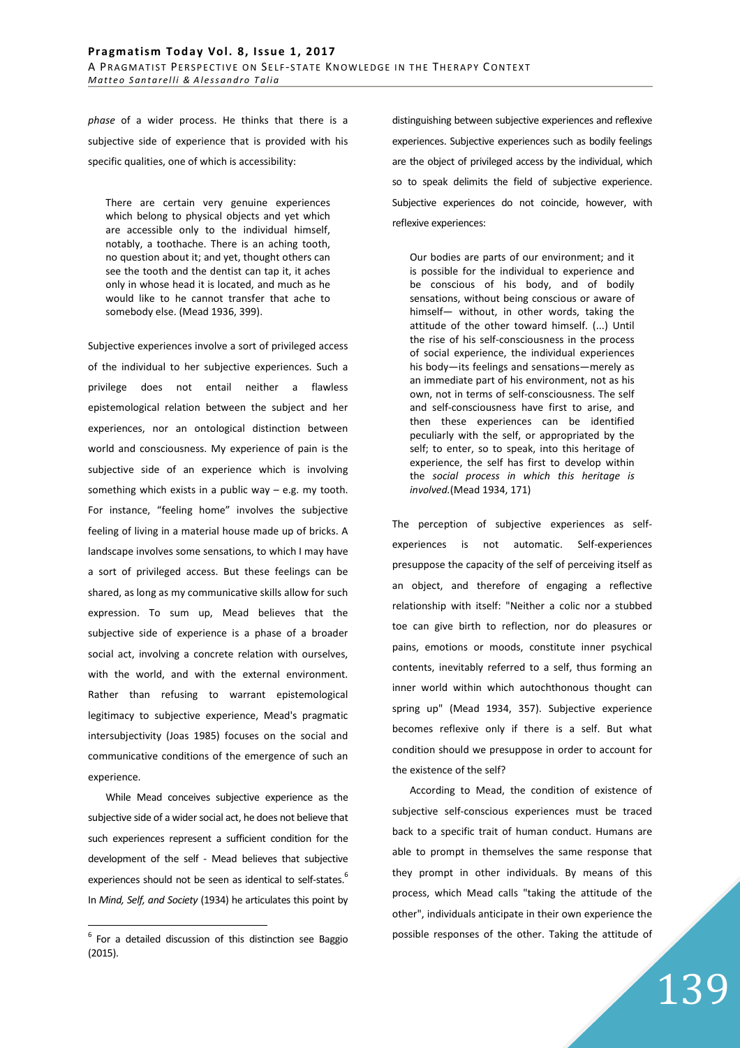*phase* of a wider process. He thinks that there is a subjective side of experience that is provided with his specific qualities, one of which is accessibility:

There are certain very genuine experiences which belong to physical objects and yet which are accessible only to the individual himself, notably, a toothache. There is an aching tooth, no question about it; and yet, thought others can see the tooth and the dentist can tap it, it aches only in whose head it is located, and much as he would like to he cannot transfer that ache to somebody else. (Mead 1936, 399).

Subjective experiences involve a sort of privileged access of the individual to her subjective experiences. Such a privilege does not entail neither a flawless epistemological relation between the subject and her experiences, nor an ontological distinction between world and consciousness. My experience of pain is the subjective side of an experience which is involving something which exists in a public way  $-$  e.g. my tooth. For instance, "feeling home" involves the subjective feeling of living in a material house made up of bricks. A landscape involves some sensations, to which I may have a sort of privileged access. But these feelings can be shared, as long as my communicative skills allow for such expression. To sum up, Mead believes that the subjective side of experience is a phase of a broader social act, involving a concrete relation with ourselves, with the world, and with the external environment. Rather than refusing to warrant epistemological legitimacy to subjective experience, Mead's pragmatic intersubjectivity (Joas 1985) focuses on the social and communicative conditions of the emergence of such an experience.

While Mead conceives subjective experience as the subjective side of a wider social act, he does not believe that such experiences represent a sufficient condition for the development of the self - Mead believes that subjective experiences should not be seen as identical to self-states.<sup>6</sup> In *Mind, Self, and Society* (1934) he articulates this point by

 $\overline{a}$ 

distinguishing between subjective experiences and reflexive experiences. Subjective experiences such as bodily feelings are the object of privileged access by the individual, which so to speak delimits the field of subjective experience. Subjective experiences do not coincide, however, with reflexive experiences:

Our bodies are parts of our environment; and it is possible for the individual to experience and be conscious of his body, and of bodily sensations, without being conscious or aware of himself— without, in other words, taking the attitude of the other toward himself. (...) Until the rise of his self-consciousness in the process of social experience, the individual experiences his body—its feelings and sensations—merely as an immediate part of his environment, not as his own, not in terms of self-consciousness. The self and self-consciousness have first to arise, and then these experiences can be identified peculiarly with the self, or appropriated by the self; to enter, so to speak, into this heritage of experience, the self has first to develop within the *social process in which this heritage is involved.*(Mead 1934, 171)

The perception of subjective experiences as selfexperiences is not automatic. Self-experiences presuppose the capacity of the self of perceiving itself as an object, and therefore of engaging a reflective relationship with itself: "Neither a colic nor a stubbed toe can give birth to reflection, nor do pleasures or pains, emotions or moods, constitute inner psychical contents, inevitably referred to a self, thus forming an inner world within which autochthonous thought can spring up" (Mead 1934, 357). Subjective experience becomes reflexive only if there is a self. But what condition should we presuppose in order to account for the existence of the self?

According to Mead, the condition of existence of subjective self-conscious experiences must be traced back to a specific trait of human conduct. Humans are able to prompt in themselves the same response that they prompt in other individuals. By means of this process, which Mead calls "taking the attitude of the other", individuals anticipate in their own experience the possible responses of the other. Taking the attitude of

 $6$  For a detailed discussion of this distinction see Baggio (2015).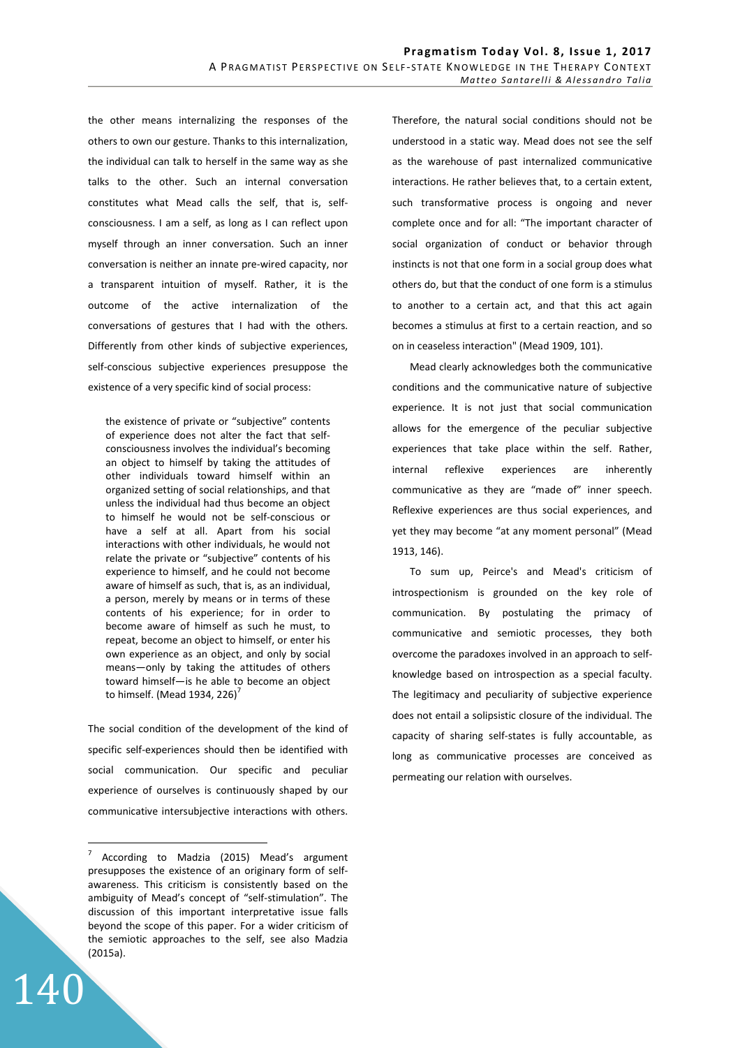the other means internalizing the responses of the others to own our gesture. Thanks to this internalization, the individual can talk to herself in the same way as she talks to the other. Such an internal conversation constitutes what Mead calls the self, that is, selfconsciousness. I am a self, as long as I can reflect upon myself through an inner conversation. Such an inner conversation is neither an innate pre-wired capacity, nor a transparent intuition of myself. Rather, it is the outcome of the active internalization of the conversations of gestures that I had with the others. Differently from other kinds of subjective experiences, self-conscious subjective experiences presuppose the existence of a very specific kind of social process:

the existence of private or "subjective" contents of experience does not alter the fact that selfconsciousness involves the individual's becoming an object to himself by taking the attitudes of other individuals toward himself within an organized setting of social relationships, and that unless the individual had thus become an object to himself he would not be self-conscious or have a self at all. Apart from his social interactions with other individuals, he would not relate the private or "subjective" contents of his experience to himself, and he could not become aware of himself as such, that is, as an individual, a person, merely by means or in terms of these contents of his experience; for in order to become aware of himself as such he must, to repeat, become an object to himself, or enter his own experience as an object, and only by social means—only by taking the attitudes of others toward himself—is he able to become an object to himself. (Mead 1934, 226)<sup> $\prime$ </sup>

The social condition of the development of the kind of specific self-experiences should then be identified with social communication. Our specific and peculiar experience of ourselves is continuously shaped by our communicative intersubjective interactions with others.

140

Therefore, the natural social conditions should not be understood in a static way. Mead does not see the self as the warehouse of past internalized communicative interactions. He rather believes that, to a certain extent, such transformative process is ongoing and never complete once and for all: "The important character of social organization of conduct or behavior through instincts is not that one form in a social group does what others do, but that the conduct of one form is a stimulus to another to a certain act, and that this act again becomes a stimulus at first to a certain reaction, and so on in ceaseless interaction" (Mead 1909, 101).

Mead clearly acknowledges both the communicative conditions and the communicative nature of subjective experience. It is not just that social communication allows for the emergence of the peculiar subjective experiences that take place within the self. Rather, internal reflexive experiences are inherently communicative as they are "made of" inner speech. Reflexive experiences are thus social experiences, and yet they may become "at any moment personal" (Mead 1913, 146).

To sum up, Peirce's and Mead's criticism of introspectionism is grounded on the key role of communication. By postulating the primacy of communicative and semiotic processes, they both overcome the paradoxes involved in an approach to selfknowledge based on introspection as a special faculty. The legitimacy and peculiarity of subjective experience does not entail a solipsistic closure of the individual. The capacity of sharing self-states is fully accountable, as long as communicative processes are conceived as permeating our relation with ourselves.

 $\frac{1}{7}$  According to Madzia (2015) Mead's argument presupposes the existence of an originary form of selfawareness. This criticism is consistently based on the ambiguity of Mead's concept of "self-stimulation". The discussion of this important interpretative issue falls beyond the scope of this paper. For a wider criticism of the semiotic approaches to the self, see also Madzia (2015a).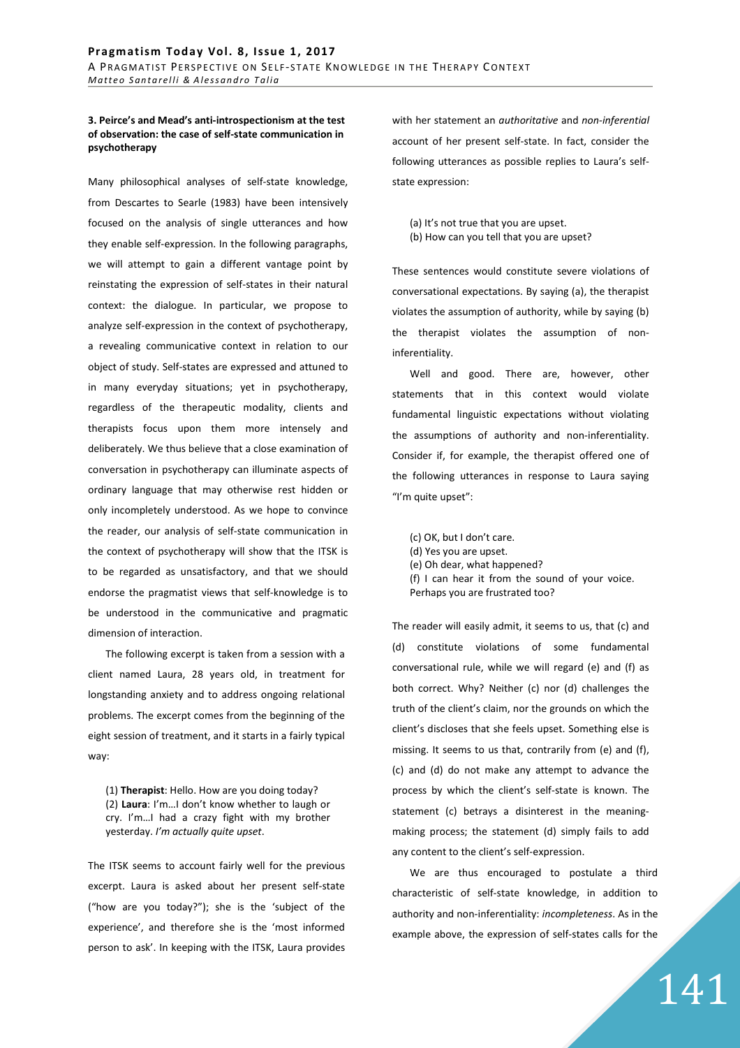#### **3. Peirce's and Mead's anti-introspectionism at the test of observation: the case of self-state communication in psychotherapy**

Many philosophical analyses of self-state knowledge, from Descartes to Searle (1983) have been intensively focused on the analysis of single utterances and how they enable self-expression. In the following paragraphs, we will attempt to gain a different vantage point by reinstating the expression of self-states in their natural context: the dialogue. In particular, we propose to analyze self-expression in the context of psychotherapy, a revealing communicative context in relation to our object of study. Self-states are expressed and attuned to in many everyday situations; yet in psychotherapy, regardless of the therapeutic modality, clients and therapists focus upon them more intensely and deliberately. We thus believe that a close examination of conversation in psychotherapy can illuminate aspects of ordinary language that may otherwise rest hidden or only incompletely understood. As we hope to convince the reader, our analysis of self-state communication in the context of psychotherapy will show that the ITSK is to be regarded as unsatisfactory, and that we should endorse the pragmatist views that self-knowledge is to be understood in the communicative and pragmatic dimension of interaction.

The following excerpt is taken from a session with a client named Laura, 28 years old, in treatment for longstanding anxiety and to address ongoing relational problems. The excerpt comes from the beginning of the eight session of treatment, and it starts in a fairly typical way:

(1) **Therapist**: Hello. How are you doing today? (2) **Laura**: I'm…I don't know whether to laugh or cry. I'm…I had a crazy fight with my brother yesterday. *I'm actually quite upset*.

The ITSK seems to account fairly well for the previous excerpt. Laura is asked about her present self-state ("how are you today?"); she is the 'subject of the experience', and therefore she is the 'most informed person to ask'. In keeping with the ITSK, Laura provides with her statement an *authoritative* and *non-inferential* account of her present self-state. In fact, consider the following utterances as possible replies to Laura's selfstate expression:

(a) It's not true that you are upset. (b) How can you tell that you are upset?

These sentences would constitute severe violations of conversational expectations. By saying (a), the therapist violates the assumption of authority, while by saying (b) the therapist violates the assumption of noninferentiality.

Well and good. There are, however, other statements that in this context would violate fundamental linguistic expectations without violating the assumptions of authority and non-inferentiality. Consider if, for example, the therapist offered one of the following utterances in response to Laura saying "I'm quite upset":

(c) OK, but I don't care. (d) Yes you are upset. (e) Oh dear, what happened? (f) I can hear it from the sound of your voice. Perhaps you are frustrated too?

The reader will easily admit, it seems to us, that (c) and (d) constitute violations of some fundamental conversational rule, while we will regard (e) and (f) as both correct. Why? Neither (c) nor (d) challenges the truth of the client's claim, nor the grounds on which the client's discloses that she feels upset. Something else is missing. It seems to us that, contrarily from (e) and (f), (c) and (d) do not make any attempt to advance the process by which the client's self-state is known. The statement (c) betrays a disinterest in the meaningmaking process; the statement (d) simply fails to add any content to the client's self-expression.

We are thus encouraged to postulate a third characteristic of self-state knowledge, in addition to authority and non-inferentiality: *incompleteness*. As in the example above, the expression of self-states calls for the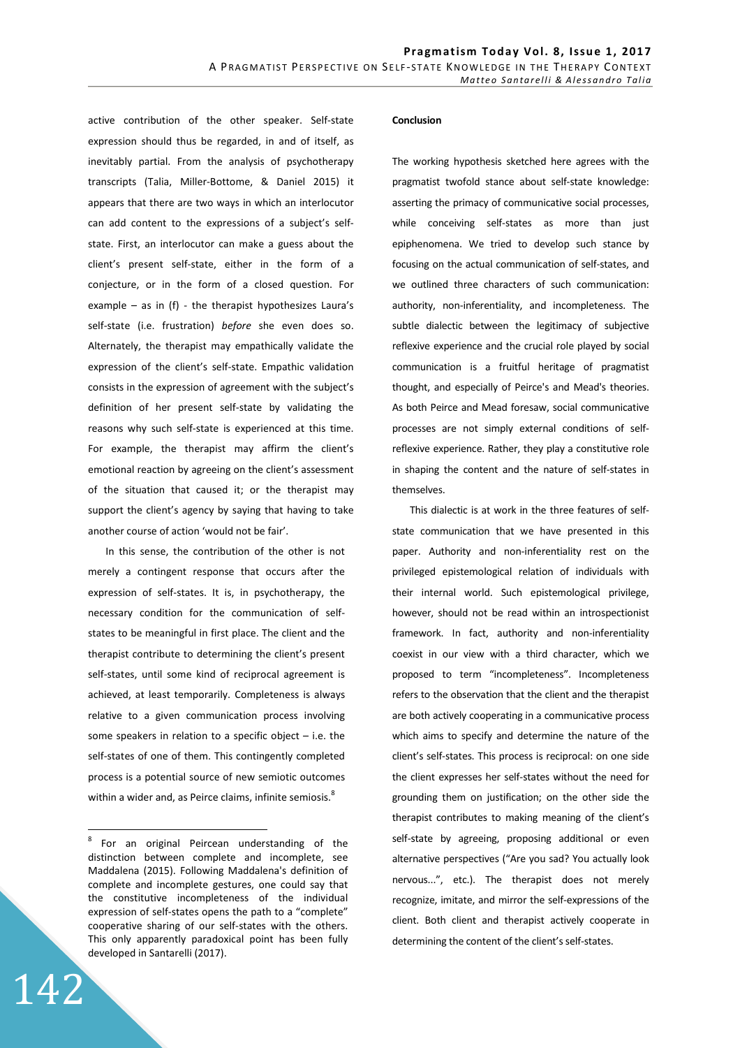active contribution of the other speaker. Self-state expression should thus be regarded, in and of itself, as inevitably partial. From the analysis of psychotherapy transcripts (Talia, Miller-Bottome, & Daniel 2015) it appears that there are two ways in which an interlocutor can add content to the expressions of a subject's selfstate. First, an interlocutor can make a guess about the client's present self-state, either in the form of a conjecture, or in the form of a closed question. For example – as in  $(f)$  - the therapist hypothesizes Laura's self-state (i.e. frustration) *before* she even does so. Alternately, the therapist may empathically validate the expression of the client's self-state. Empathic validation consists in the expression of agreement with the subject's definition of her present self-state by validating the reasons why such self-state is experienced at this time. For example, the therapist may affirm the client's emotional reaction by agreeing on the client's assessment of the situation that caused it; or the therapist may support the client's agency by saying that having to take another course of action 'would not be fair'.

In this sense, the contribution of the other is not merely a contingent response that occurs after the expression of self-states. It is, in psychotherapy, the necessary condition for the communication of selfstates to be meaningful in first place. The client and the therapist contribute to determining the client's present self-states, until some kind of reciprocal agreement is achieved, at least temporarily. Completeness is always relative to a given communication process involving some speakers in relation to a specific object – i.e. the self-states of one of them. This contingently completed process is a potential source of new semiotic outcomes within a wider and, as Peirce claims, infinite semiosis.<sup>8</sup>

142

 $\overline{a}$ 

#### **Conclusion**

The working hypothesis sketched here agrees with the pragmatist twofold stance about self-state knowledge: asserting the primacy of communicative social processes, while conceiving self-states as more than just epiphenomena. We tried to develop such stance by focusing on the actual communication of self-states, and we outlined three characters of such communication: authority, non-inferentiality, and incompleteness. The subtle dialectic between the legitimacy of subjective reflexive experience and the crucial role played by social communication is a fruitful heritage of pragmatist thought, and especially of Peirce's and Mead's theories. As both Peirce and Mead foresaw, social communicative processes are not simply external conditions of selfreflexive experience. Rather, they play a constitutive role in shaping the content and the nature of self-states in themselves.

This dialectic is at work in the three features of selfstate communication that we have presented in this paper. Authority and non-inferentiality rest on the privileged epistemological relation of individuals with their internal world. Such epistemological privilege, however, should not be read within an introspectionist framework. In fact, authority and non-inferentiality coexist in our view with a third character, which we proposed to term "incompleteness". Incompleteness refers to the observation that the client and the therapist are both actively cooperating in a communicative process which aims to specify and determine the nature of the client's self-states. This process is reciprocal: on one side the client expresses her self-states without the need for grounding them on justification; on the other side the therapist contributes to making meaning of the client's self-state by agreeing, proposing additional or even alternative perspectives ("Are you sad? You actually look nervous...", etc.). The therapist does not merely recognize, imitate, and mirror the self-expressions of the client. Both client and therapist actively cooperate in determining the content of the client's self-states.

<sup>&</sup>lt;sup>8</sup> For an original Peircean understanding of the distinction between complete and incomplete, see Maddalena (2015). Following Maddalena's definition of complete and incomplete gestures, one could say that the constitutive incompleteness of the individual expression of self-states opens the path to a "complete" cooperative sharing of our self-states with the others. This only apparently paradoxical point has been fully developed in Santarelli (2017).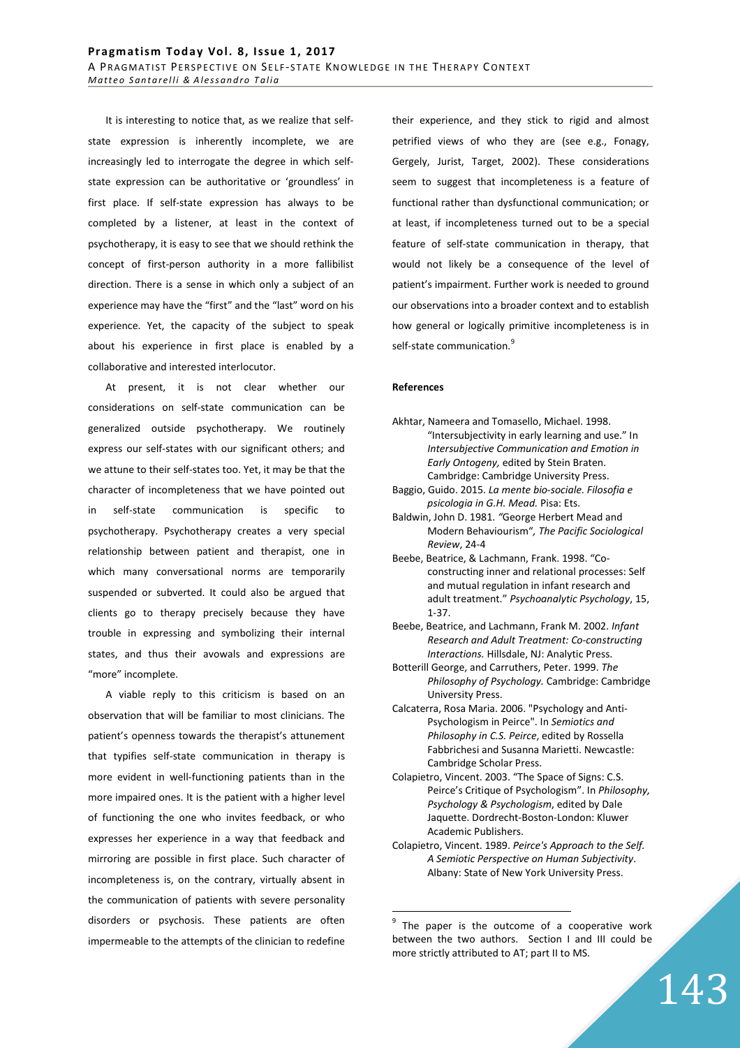It is interesting to notice that, as we realize that selfstate expression is inherently incomplete, we are increasingly led to interrogate the degree in which selfstate expression can be authoritative or 'groundless' in first place. If self-state expression has always to be completed by a listener, at least in the context of psychotherapy, it is easy to see that we should rethink the concept of first-person authority in a more fallibilist direction. There is a sense in which only a subject of an experience may have the "first" and the "last" word on his experience. Yet, the capacity of the subject to speak about his experience in first place is enabled by a collaborative and interested interlocutor.

At present, it is not clear whether our considerations on self-state communication can be generalized outside psychotherapy. We routinely express our self-states with our significant others; and we attune to their self-states too. Yet, it may be that the character of incompleteness that we have pointed out in self-state communication is specific to psychotherapy. Psychotherapy creates a very special relationship between patient and therapist, one in which many conversational norms are temporarily suspended or subverted. It could also be argued that clients go to therapy precisely because they have trouble in expressing and symbolizing their internal states, and thus their avowals and expressions are "more" incomplete.

A viable reply to this criticism is based on an observation that will be familiar to most clinicians. The patient's openness towards the therapist's attunement that typifies self-state communication in therapy is more evident in well-functioning patients than in the more impaired ones. It is the patient with a higher level of functioning the one who invites feedback, or who expresses her experience in a way that feedback and mirroring are possible in first place. Such character of incompleteness is, on the contrary, virtually absent in the communication of patients with severe personality disorders or psychosis. These patients are often impermeable to the attempts of the clinician to redefine

their experience, and they stick to rigid and almost petrified views of who they are (see e.g., Fonagy, Gergely, Jurist, Target, 2002). These considerations seem to suggest that incompleteness is a feature of functional rather than dysfunctional communication; or at least, if incompleteness turned out to be a special feature of self-state communication in therapy, that would not likely be a consequence of the level of patient's impairment. Further work is needed to ground our observations into a broader context and to establish how general or logically primitive incompleteness is in self-state communication.<sup>9</sup>

#### **References**

 $\overline{a}$ 

- Akhtar, Nameera and Tomasello, Michael. 1998. "Intersubjectivity in early learning and use." In *Intersubjective Communication and Emotion in Early Ontogeny,* edited by Stein Braten. Cambridge: Cambridge University Press.
- Baggio, Guido. 2015. *La mente bio-sociale. Filosofia e psicologia in G.H. Mead.* Pisa: Ets.
- Baldwin, John D. 1981. *"*George Herbert Mead and Modern Behaviourism"*, The Pacific Sociological Review*, 24-4
- Beebe, Beatrice, & Lachmann, Frank. 1998. "Coconstructing inner and relational processes: Self and mutual regulation in infant research and adult treatment." *Psychoanalytic Psychology*, 15, 1-37.
- Beebe, Beatrice, and Lachmann, Frank M. 2002. *Infant Research and Adult Treatment: Co-constructing Interactions.* Hillsdale, NJ: Analytic Press.
- Botterill George, and Carruthers, Peter. 1999. *The Philosophy of Psychology.* Cambridge: Cambridge University Press.
- Calcaterra, Rosa Maria. 2006. "Psychology and Anti-Psychologism in Peirce". In *Semiotics and Philosophy in C.S. Peirce*, edited by Rossella Fabbrichesi and Susanna Marietti. Newcastle: Cambridge Scholar Press.
- Colapietro, Vincent. 2003. "The Space of Signs: C.S. Peirce's Critique of Psychologism". In *Philosophy, Psychology & Psychologism*, edited by Dale Jaquette. Dordrecht-Boston-London: Kluwer Academic Publishers.
- Colapietro, Vincent. 1989. *Peirce's Approach to the Self. A Semiotic Perspective on Human Subjectivity*. Albany: State of New York University Press.

<sup>9</sup> The paper is the outcome of a cooperative work between the two authors. Section I and III could be more strictly attributed to AT; part II to MS.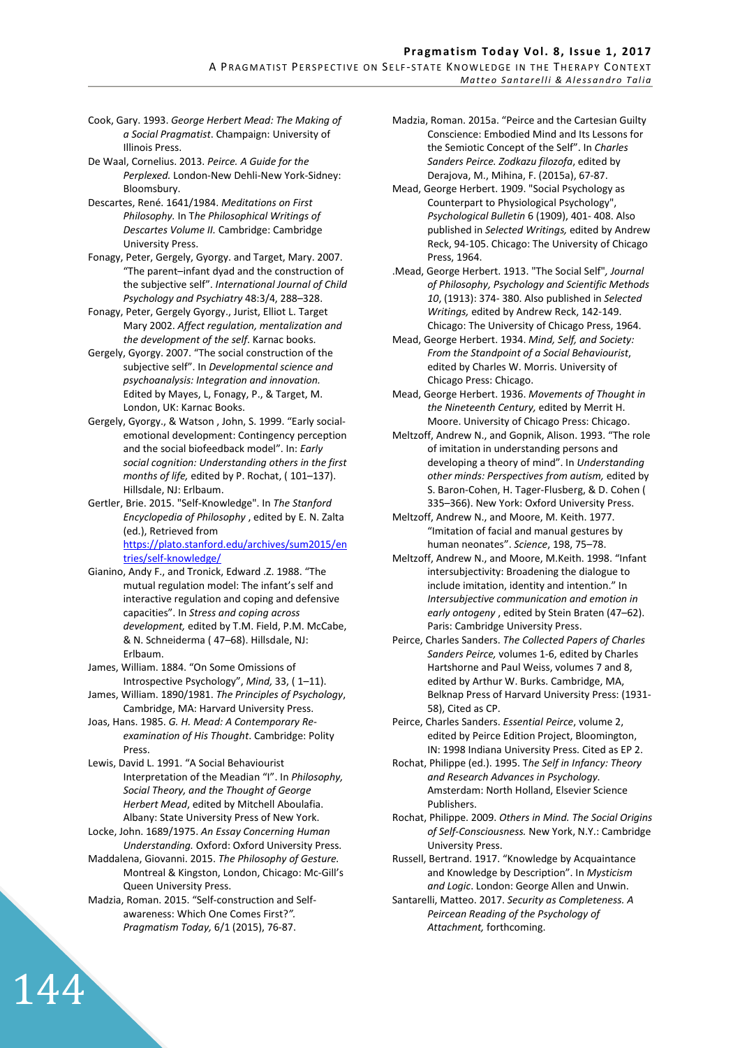#### Pragmatism Today Vol. 8, Issue 1, 2017

A PRAGMATIST PERSPECTIVE ON SELF-STATE KNOWLEDGE IN THE THERAPY CONTEXT *M a t t e o S a n t a r e l l i & A l e s s a n d r o T a l i a*

Cook, Gary. 1993. *George Herbert Mead: The Making of a Social Pragmatist*. Champaign: University of Illinois Press.

De Waal, Cornelius. 2013. *Peirce. A Guide for the Perplexed.* London-New Dehli-New York-Sidney: Bloomsbury.

Descartes, René. 1641/1984. *Meditations on First Philosophy.* In T*he Philosophical Writings of Descartes Volume II.* Cambridge: Cambridge University Press.

Fonagy, Peter, Gergely, Gyorgy. and Target, Mary. 2007. "The parent–infant dyad and the construction of the subjective self". *International Journal of Child Psychology and Psychiatry* 48:3/4, 288–328.

Fonagy, Peter, Gergely Gyorgy., Jurist, Elliot L. Target Mary 2002. *Affect regulation, mentalization and the development of the self*. Karnac books.

Gergely, Gyorgy. 2007. "The social construction of the subjective self". In *Developmental science and psychoanalysis: Integration and innovation.*  Edited by Mayes, L, Fonagy, P., & Target, M. London, UK: Karnac Books.

Gergely, Gyorgy., & Watson , John, S. 1999. "Early socialemotional development: Contingency perception and the social biofeedback model". In: *Early social cognition: Understanding others in the first months of life,* edited by P. Rochat, ( 101–137). Hillsdale, NJ: Erlbaum.

Gertler, Brie. 2015. "Self-Knowledge". In *The Stanford Encyclopedia of Philosophy* , edited by E. N. Zalta (ed.), Retrieved from https://plato.stanford.edu/archives/sum2015/en tries/self-knowledge/

Gianino, Andy F., and Tronick, Edward .Z. 1988. "The mutual regulation model: The infant's self and interactive regulation and coping and defensive capacities". In *Stress and coping across development,* edited by T.M. Field, P.M. McCabe, & N. Schneiderma ( 47–68). Hillsdale, NJ: Erlbaum.

James, William. 1884. "On Some Omissions of Introspective Psychology", *Mind,* 33, ( 1–11).

James, William. 1890/1981. *The Principles of Psychology*, Cambridge, MA: Harvard University Press.

Joas, Hans. 1985. *G. H. Mead: A Contemporary Reexamination of His Thought*. Cambridge: Polity **Press** 

Lewis, David L. 1991. "A Social Behaviourist Interpretation of the Meadian "I". In *Philosophy, Social Theory, and the Thought of George Herbert Mead*, edited by Mitchell Aboulafia. Albany: State University Press of New York.

Locke, John. 1689/1975. *An Essay Concerning Human Understanding.* Oxford: Oxford University Press.

Maddalena, Giovanni. 2015. *The Philosophy of Gesture.*  Montreal & Kingston, London, Chicago: Mc-Gill's Queen University Press.

Madzia, Roman. 2015. "Self-construction and Selfawareness: Which One Comes First?*". Pragmatism Today,* 6/1 (2015), 76-87.

Madzia, Roman. 2015a. "Peirce and the Cartesian Guilty Conscience: Embodied Mind and Its Lessons for the Semiotic Concept of the Self". In *Charles Sanders Peirce. Zodkazu filozofa*, edited by Derajova, M., Mihina, F. (2015a), 67-87.

Mead, George Herbert. 1909. "Social Psychology as Counterpart to Physiological Psychology", *Psychological Bulletin* 6 (1909), 401- 408. Also published in *Selected Writings,* edited by Andrew Reck, 94-105. Chicago: The University of Chicago Press, 1964.

.Mead, George Herbert. 1913. "The Social Self"*, Journal of Philosophy, Psychology and Scientific Methods 10*, (1913): 374- 380. Also published in *Selected Writings,* edited by Andrew Reck, 142-149. Chicago: The University of Chicago Press, 1964.

Mead, George Herbert. 1934. *Mind, Self, and Society: From the Standpoint of a Social Behaviourist*, edited by Charles W. Morris. University of Chicago Press: Chicago.

Mead, George Herbert. 1936. *Movements of Thought in the Nineteenth Century,* edited by Merrit H. Moore. University of Chicago Press: Chicago.

Meltzoff, Andrew N., and Gopnik, Alison. 1993. "The role of imitation in understanding persons and developing a theory of mind". In *Understanding other minds: Perspectives from autism,* edited by S. Baron-Cohen, H. Tager-Flusberg, & D. Cohen ( 335–366). New York: Oxford University Press.

Meltzoff, Andrew N., and Moore, M. Keith. 1977. "Imitation of facial and manual gestures by human neonates". *Science*, 198, 75–78.

Meltzoff, Andrew N., and Moore, M.Keith. 1998. "Infant intersubjectivity: Broadening the dialogue to include imitation, identity and intention." In *Intersubjective communication and emotion in early ontogeny* , edited by Stein Braten (47–62). Paris: Cambridge University Press.

Peirce, Charles Sanders. *The Collected Papers of Charles Sanders Peirce,* volumes 1-6, edited by Charles Hartshorne and Paul Weiss, volumes 7 and 8, edited by Arthur W. Burks. Cambridge, MA, Belknap Press of Harvard University Press: (1931- 58), Cited as CP.

Peirce, Charles Sanders. *Essential Peirce*, volume 2, edited by Peirce Edition Project, Bloomington, IN: 1998 Indiana University Press. Cited as EP 2.

Rochat, Philippe (ed.). 1995. T*he Self in Infancy: Theory and Research Advances in Psychology.* Amsterdam: North Holland, Elsevier Science Publishers.

Rochat, Philippe. 2009. *Others in Mind. The Social Origins of Self-Consciousness.* New York, N.Y.: Cambridge University Press.

Russell, Bertrand. 1917. "Knowledge by Acquaintance and Knowledge by Description". In *Mysticism and Logic*. London: George Allen and Unwin.

Santarelli, Matteo. 2017. *Security as Completeness. A Peircean Reading of the Psychology of Attachment,* forthcoming.